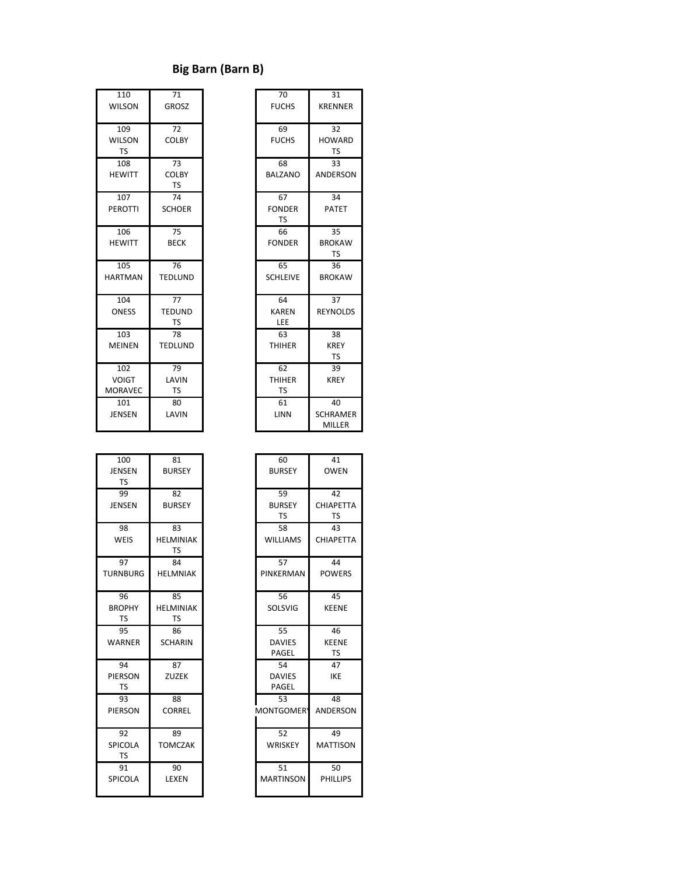## **Big Barn (Barn B)**

| 110<br><b>WILSON</b>                  | $\overline{71}$<br><b>GROSZ</b>  | $\overline{70}$<br><b>FUCHS</b>  | 31<br><b>KRENNE</b>              |
|---------------------------------------|----------------------------------|----------------------------------|----------------------------------|
| 109<br><b>WILSON</b><br><b>TS</b>     | 72<br><b>COLBY</b>               | 69<br><b>FUCHS</b>               | 32<br><b>HOWAR</b><br><b>TS</b>  |
| 108<br><b>HEWITT</b>                  | 73<br><b>COLBY</b><br><b>TS</b>  | 68<br><b>BALZANO</b>             | 33<br><b>ANDERS</b>              |
| 107<br><b>PEROTTI</b>                 | 74<br><b>SCHOER</b>              | 67<br><b>FONDER</b><br>TS        | 34<br><b>PATET</b>               |
| 106<br><b>HEWITT</b>                  | 75<br><b>BECK</b>                | 66<br><b>FONDER</b>              | 35<br><b>BROKA\</b><br><b>TS</b> |
| 105<br><b>HARTMAN</b>                 | 76<br><b>TEDLUND</b>             | 65<br><b>SCHLEIVE</b>            | 36<br><b>BROKA\</b>              |
| 104<br><b>ONESS</b>                   | 77<br><b>TEDUND</b><br><b>TS</b> | 64<br><b>KAREN</b><br>LEE        | 37<br><b>REYNOLI</b>             |
| 103<br><b>MEINEN</b>                  | 78<br><b>TEDLUND</b>             | 63<br><b>THIHER</b>              | 38<br><b>KREY</b><br><b>TS</b>   |
| 102<br><b>VOIGT</b><br><b>MORAVEC</b> | 79<br>LAVIN<br><b>TS</b>         | 62<br><b>THIHER</b><br><b>TS</b> | 39<br><b>KREY</b>                |
| 101<br><b>JENSEN</b>                  | 80<br>LAVIN                      | 61<br>LINN                       | 40<br><b>SCHRAM</b><br>MILLEF    |

| 110            | 71             | 70              | 31              |
|----------------|----------------|-----------------|-----------------|
| <b>WILSON</b>  | <b>GROSZ</b>   | <b>FUCHS</b>    | <b>KRENNER</b>  |
| 109            | 72             | 69              | 32              |
| <b>WILSON</b>  | <b>COLBY</b>   | <b>FUCHS</b>    | <b>HOWARD</b>   |
| <b>TS</b>      |                |                 | <b>TS</b>       |
| 108            | 73             | 68              | 33              |
| <b>HEWITT</b>  | <b>COLBY</b>   | <b>BALZANO</b>  | <b>ANDERSON</b> |
|                | <b>TS</b>      |                 |                 |
| 107            | 74             | 67              | 34              |
| <b>PEROTTI</b> | <b>SCHOER</b>  | <b>FONDER</b>   | <b>PATET</b>    |
|                |                | TS              |                 |
| 106            | 75             | 66              | 35              |
| <b>HEWITT</b>  | <b>BECK</b>    | <b>FONDER</b>   | <b>BROKAW</b>   |
|                |                |                 | TS              |
| 105            | 76             | 65              | 36              |
| <b>HARTMAN</b> | <b>TEDLUND</b> | <b>SCHLEIVE</b> | <b>BROKAW</b>   |
| 104            | 77             | 64              | 37              |
| <b>ONESS</b>   | <b>TEDUND</b>  | <b>KAREN</b>    | <b>REYNOLDS</b> |
|                | TS             | LEE             |                 |
| 103            | 78             | 63              | 38              |
| <b>MEINEN</b>  | <b>TEDLUND</b> | <b>THIHER</b>   | <b>KREY</b>     |
|                |                |                 | <b>TS</b>       |
| 102            | 79             | 62              | 39              |
| <b>VOIGT</b>   | LAVIN          | <b>THIHER</b>   | <b>KREY</b>     |
| <b>MORAVEC</b> | <b>TS</b>      | TS              |                 |
| 101            | 80             | 61              | 40              |
| <b>JENSEN</b>  | LAVIN          | LINN            | <b>SCHRAMER</b> |
|                |                |                 | <b>MILLER</b>   |
|                |                |                 |                 |
| 100            | 81             | 60              | 41              |

| 100             | 81               | 60                | 41              |
|-----------------|------------------|-------------------|-----------------|
| JENSEN          | <b>BURSEY</b>    | <b>BURSEY</b>     | <b>OWEN</b>     |
| <b>TS</b>       |                  |                   |                 |
| 99              | 82               | 59                | 42              |
| <b>JENSEN</b>   | <b>BURSEY</b>    | <b>BURSEY</b>     | CHIAPETT.       |
|                 |                  | TS                | <b>TS</b>       |
| 98              | 83               | 58                | 43              |
| WEIS            | <b>HELMINIAK</b> | <b>WILLIAMS</b>   | CHIAPETT.       |
|                 | <b>TS</b>        |                   |                 |
| 97              | 84               | 57                | 44              |
| <b>TURNBURG</b> | <b>HELMNIAK</b>  | PINKERMAN         | <b>POWERS</b>   |
|                 |                  |                   |                 |
| 96              | 85               | 56                | 45              |
| <b>BROPHY</b>   | <b>HELMINIAK</b> | SOLSVIG           | <b>KEENE</b>    |
| <b>TS</b>       | <b>TS</b>        |                   |                 |
| 95              | 86               | 55                | 46              |
| <b>WARNER</b>   | <b>SCHARIN</b>   | <b>DAVIES</b>     | <b>KEENE</b>    |
|                 |                  | PAGEL             | <b>TS</b>       |
| 94              | 87               | 54                | 47              |
| PIERSON         | <b>ZUZEK</b>     | <b>DAVIES</b>     | <b>IKE</b>      |
| <b>TS</b>       |                  | PAGEL             |                 |
| 93              | 88               | 53                | 48              |
| PIERSON         | <b>CORREL</b>    | <b>MONTGOMERY</b> | <b>ANDERSO</b>  |
|                 |                  |                   |                 |
| 92              | 89               | 52                | 49              |
| SPICOLA         | <b>TOMCZAK</b>   | WRISKEY           | <b>MATTISOI</b> |
| <b>TS</b>       |                  |                   |                 |
| 91              | 90               | 51                | 50              |
| SPICOLA         | LEXEN            | <b>MARTINSON</b>  | <b>PHILLIPS</b> |
|                 |                  |                   |                 |

| 100            | 81               | 60               | 41               |
|----------------|------------------|------------------|------------------|
| <b>JENSEN</b>  | <b>BURSEY</b>    | <b>BURSEY</b>    | <b>OWEN</b>      |
| <b>TS</b>      |                  |                  |                  |
| 99             | 82               | 59               | 42               |
| <b>JENSEN</b>  | <b>BURSEY</b>    | <b>BURSEY</b>    | <b>CHIAPETTA</b> |
|                |                  | <b>TS</b>        | <b>TS</b>        |
| 98             | 83               | 58               | 43               |
| WEIS           | <b>HELMINIAK</b> | <b>WILLIAMS</b>  | <b>CHIAPETTA</b> |
|                | <b>TS</b>        |                  |                  |
| 97             | 84               | 57               | 44               |
| URNBURG        | <b>HELMNIAK</b>  | PINKERMAN        | <b>POWERS</b>    |
|                |                  |                  |                  |
| 96             | 85               | 56               | 45               |
| <b>BROPHY</b>  | <b>HELMINIAK</b> | SOLSVIG          | <b>KEENE</b>     |
| <b>TS</b>      | <b>TS</b>        |                  |                  |
| 95             | 86               | 55               | 46               |
| WARNER         | <b>SCHARIN</b>   | <b>DAVIES</b>    | <b>KEENE</b>     |
|                |                  | PAGEL            | <b>TS</b>        |
| 94             | 87               | 54               | 47               |
| PIERSON        | <b>ZUZEK</b>     | <b>DAVIES</b>    | <b>IKE</b>       |
| <b>TS</b>      |                  | PAGEL            |                  |
| 93             | 88               | 53               | 48               |
| PIERSON        | <b>CORREL</b>    | <b>MONTGOMER</b> | <b>ANDERSON</b>  |
|                |                  |                  |                  |
| 92             | 89               | 52               | 49               |
| <b>SPICOLA</b> | <b>TOMCZAK</b>   | WRISKEY          | <b>MATTISON</b>  |
| <b>TS</b>      |                  |                  |                  |
| 91             | 90               | 51               | 50               |
| SPICOLA        | LEXEN            | <b>MARTINSON</b> | <b>PHILLIPS</b>  |
|                |                  |                  |                  |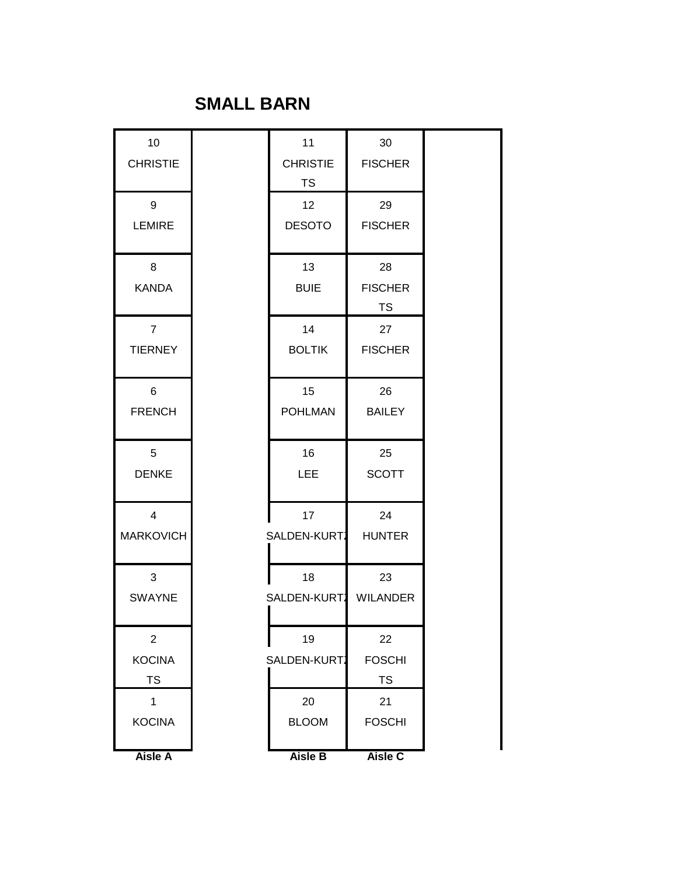## **SMALL BARN**

| <b>CHRISTIE</b><br><b>CHRISTIE</b><br><b>FISCHER</b><br><b>TS</b><br>9<br>12 <sub>2</sub><br>29<br><b>LEMIRE</b><br><b>DESOTO</b><br><b>FISCHER</b><br>13<br>8<br>28<br><b>KANDA</b><br><b>BUIE</b><br><b>FISCHER</b><br><b>TS</b><br>$\overline{7}$<br>14<br>27<br><b>BOLTIK</b><br><b>TIERNEY</b><br><b>FISCHER</b><br>15<br>6<br>26<br><b>POHLMAN</b><br><b>FRENCH</b><br><b>BAILEY</b><br>5<br>16<br>25<br><b>LEE</b><br><b>SCOTT</b><br><b>DENKE</b><br>$\overline{4}$<br>24<br>17<br><b>MARKOVICH</b><br>SALDEN-KURT.<br><b>HUNTER</b><br>3<br>18<br>23<br><b>SWAYNE</b><br>SALDEN-KURT.<br><b>WILANDER</b><br>$\overline{2}$<br>19<br>22<br><b>KOCINA</b><br><b>FOSCHI</b><br>SALDEN-KURT.<br><b>TS</b><br><b>TS</b><br>1<br>20<br>21<br><b>KOCINA</b><br><b>BLOOM</b><br><b>FOSCHI</b> | 10 | 11 | 30 |
|------------------------------------------------------------------------------------------------------------------------------------------------------------------------------------------------------------------------------------------------------------------------------------------------------------------------------------------------------------------------------------------------------------------------------------------------------------------------------------------------------------------------------------------------------------------------------------------------------------------------------------------------------------------------------------------------------------------------------------------------------------------------------------------------|----|----|----|
|                                                                                                                                                                                                                                                                                                                                                                                                                                                                                                                                                                                                                                                                                                                                                                                                |    |    |    |
|                                                                                                                                                                                                                                                                                                                                                                                                                                                                                                                                                                                                                                                                                                                                                                                                |    |    |    |
|                                                                                                                                                                                                                                                                                                                                                                                                                                                                                                                                                                                                                                                                                                                                                                                                |    |    |    |
|                                                                                                                                                                                                                                                                                                                                                                                                                                                                                                                                                                                                                                                                                                                                                                                                |    |    |    |
|                                                                                                                                                                                                                                                                                                                                                                                                                                                                                                                                                                                                                                                                                                                                                                                                |    |    |    |
|                                                                                                                                                                                                                                                                                                                                                                                                                                                                                                                                                                                                                                                                                                                                                                                                |    |    |    |
|                                                                                                                                                                                                                                                                                                                                                                                                                                                                                                                                                                                                                                                                                                                                                                                                |    |    |    |
|                                                                                                                                                                                                                                                                                                                                                                                                                                                                                                                                                                                                                                                                                                                                                                                                |    |    |    |
|                                                                                                                                                                                                                                                                                                                                                                                                                                                                                                                                                                                                                                                                                                                                                                                                |    |    |    |
|                                                                                                                                                                                                                                                                                                                                                                                                                                                                                                                                                                                                                                                                                                                                                                                                |    |    |    |
|                                                                                                                                                                                                                                                                                                                                                                                                                                                                                                                                                                                                                                                                                                                                                                                                |    |    |    |
|                                                                                                                                                                                                                                                                                                                                                                                                                                                                                                                                                                                                                                                                                                                                                                                                |    |    |    |
|                                                                                                                                                                                                                                                                                                                                                                                                                                                                                                                                                                                                                                                                                                                                                                                                |    |    |    |
|                                                                                                                                                                                                                                                                                                                                                                                                                                                                                                                                                                                                                                                                                                                                                                                                |    |    |    |
|                                                                                                                                                                                                                                                                                                                                                                                                                                                                                                                                                                                                                                                                                                                                                                                                |    |    |    |
|                                                                                                                                                                                                                                                                                                                                                                                                                                                                                                                                                                                                                                                                                                                                                                                                |    |    |    |
|                                                                                                                                                                                                                                                                                                                                                                                                                                                                                                                                                                                                                                                                                                                                                                                                |    |    |    |
|                                                                                                                                                                                                                                                                                                                                                                                                                                                                                                                                                                                                                                                                                                                                                                                                |    |    |    |
|                                                                                                                                                                                                                                                                                                                                                                                                                                                                                                                                                                                                                                                                                                                                                                                                |    |    |    |
|                                                                                                                                                                                                                                                                                                                                                                                                                                                                                                                                                                                                                                                                                                                                                                                                |    |    |    |
|                                                                                                                                                                                                                                                                                                                                                                                                                                                                                                                                                                                                                                                                                                                                                                                                |    |    |    |
|                                                                                                                                                                                                                                                                                                                                                                                                                                                                                                                                                                                                                                                                                                                                                                                                |    |    |    |
|                                                                                                                                                                                                                                                                                                                                                                                                                                                                                                                                                                                                                                                                                                                                                                                                |    |    |    |
|                                                                                                                                                                                                                                                                                                                                                                                                                                                                                                                                                                                                                                                                                                                                                                                                |    |    |    |
|                                                                                                                                                                                                                                                                                                                                                                                                                                                                                                                                                                                                                                                                                                                                                                                                |    |    |    |
|                                                                                                                                                                                                                                                                                                                                                                                                                                                                                                                                                                                                                                                                                                                                                                                                |    |    |    |
|                                                                                                                                                                                                                                                                                                                                                                                                                                                                                                                                                                                                                                                                                                                                                                                                |    |    |    |
|                                                                                                                                                                                                                                                                                                                                                                                                                                                                                                                                                                                                                                                                                                                                                                                                |    |    |    |
| <b>Aisle B</b><br><b>Aisle A</b><br>Aisle C                                                                                                                                                                                                                                                                                                                                                                                                                                                                                                                                                                                                                                                                                                                                                    |    |    |    |